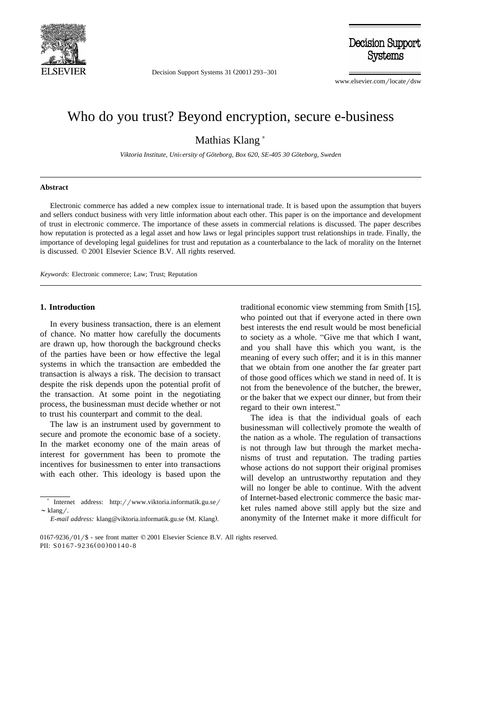

Decision Support Systems 31 (2001) 293-301

**Decision Support Systems** 

www.elsevier.com/locate/dsw

## Who do you trust? Beyond encryption, secure e-business

Mathias Klang<sup>\*</sup>

Viktoria Institute, University of Göteborg, Box 620, SE-405 30 Göteborg, Sweden

#### **Abstract**

Electronic commerce has added a new complex issue to international trade. It is based upon the assumption that buyers and sellers conduct business with very little information about each other. This paper is on the importance and development of trust in electronic commerce. The importance of these assets in commercial relations is discussed. The paper describes how reputation is protected as a legal asset and how laws or legal principles support trust relationships in trade. Finally, the importance of developing legal guidelines for trust and reputation as a counterbalance to the lack of morality on the Internet is discussed.  $© 2001$  Elsevier Science B.V. All rights reserved.

*Keywords:* Electronic commerce; Law; Trust; Reputation

### **1. Introduction**

In every business transaction, there is an element of chance. No matter how carefully the documents are drawn up, how thorough the background checks of the parties have been or how effective the legal systems in which the transaction are embedded the transaction is always a risk. The decision to transact despite the risk depends upon the potential profit of the transaction. At some point in the negotiating process, the businessman must decide whether or not to trust his counterpart and commit to the deal.

The law is an instrument used by government to secure and promote the economic base of a society. In the market economy one of the main areas of interest for government has been to promote the incentives for businessmen to enter into transactions with each other. This ideology is based upon the

Internet address: http://www.viktoria.informatik.gu.se/  $\sim$  klang/.

traditional economic view stemming from Smith [15], who pointed out that if everyone acted in there own best interests the end result would be most beneficial to society as a whole. "Give me that which I want, and you shall have this which you want, is the meaning of every such offer; and it is in this manner that we obtain from one another the far greater part of those good offices which we stand in need of. It is not from the benevolence of the butcher, the brewer, or the baker that we expect our dinner, but from their regard to their own interest."

The idea is that the individual goals of each businessman will collectively promote the wealth of the nation as a whole. The regulation of transactions is not through law but through the market mechanisms of trust and reputation. The trading parties whose actions do not support their original promises will develop an untrustworthy reputation and they will no longer be able to continue. With the advent of Internet-based electronic commerce the basic market rules named above still apply but the size and anonymity of the Internet make it more difficult for

*E-mail address: klang@viktoria.informatik.gu.se (M. Klang).* 

<sup>0167-9236/01/\$ -</sup> see front matter  $\textcircled{ }2001$  Elsevier Science B.V. All rights reserved. PII: S0167-9236(00)00140-8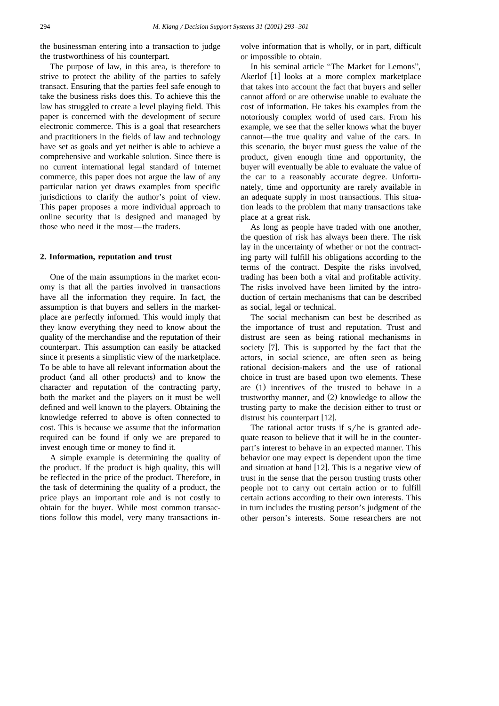the businessman entering into a transaction to judge the trustworthiness of his counterpart.

The purpose of law, in this area, is therefore to strive to protect the ability of the parties to safely transact. Ensuring that the parties feel safe enough to take the business risks does this. To achieve this the law has struggled to create a level playing field. This paper is concerned with the development of secure electronic commerce. This is a goal that researchers and practitioners in the fields of law and technology have set as goals and yet neither is able to achieve a comprehensive and workable solution. Since there is no current international legal standard of Internet commerce, this paper does not argue the law of any particular nation yet draws examples from specific jurisdictions to clarify the author's point of view. This paper proposes a more individual approach to online security that is designed and managed by those who need it the most—the traders.

### **2. Information, reputation and trust**

One of the main assumptions in the market economy is that all the parties involved in transactions have all the information they require. In fact, the assumption is that buyers and sellers in the marketplace are perfectly informed. This would imply that they know everything they need to know about the quality of the merchandise and the reputation of their counterpart. This assumption can easily be attacked since it presents a simplistic view of the marketplace. To be able to have all relevant information about the product (and all other products) and to know the character and reputation of the contracting party, both the market and the players on it must be well defined and well known to the players. Obtaining the knowledge referred to above is often connected to cost. This is because we assume that the information required can be found if only we are prepared to invest enough time or money to find it.

A simple example is determining the quality of the product. If the product is high quality, this will be reflected in the price of the product. Therefore, in the task of determining the quality of a product, the price plays an important role and is not costly to obtain for the buyer. While most common transactions follow this model, very many transactions involve information that is wholly, or in part, difficult or impossible to obtain.

In his seminal article "The Market for Lemons". Akerlof [1] looks at a more complex marketplace that takes into account the fact that buyers and seller cannot afford or are otherwise unable to evaluate the cost of information. He takes his examples from the notoriously complex world of used cars. From his example, we see that the seller knows what the buyer cannot—the true quality and value of the cars. In this scenario, the buyer must guess the value of the product, given enough time and opportunity, the buyer will eventually be able to evaluate the value of the car to a reasonably accurate degree. Unfortunately, time and opportunity are rarely available in an adequate supply in most transactions. This situation leads to the problem that many transactions take place at a great risk.

As long as people have traded with one another, the question of risk has always been there. The risk lay in the uncertainty of whether or not the contracting party will fulfill his obligations according to the terms of the contract. Despite the risks involved, trading has been both a vital and profitable activity. The risks involved have been limited by the introduction of certain mechanisms that can be described as social, legal or technical.

The social mechanism can best be described as the importance of trust and reputation. Trust and distrust are seen as being rational mechanisms in society [7]. This is supported by the fact that the actors, in social science, are often seen as being rational decision-makers and the use of rational choice in trust are based upon two elements. These are  $(1)$  incentives of the trusted to behave in a trustworthy manner, and  $(2)$  knowledge to allow the trusting party to make the decision either to trust or distrust his counterpart  $[12]$ .

The rational actor trusts if  $s/he$  is granted adequate reason to believe that it will be in the counterpart's interest to behave in an expected manner. This behavior one may expect is dependent upon the time and situation at hand  $[12]$ . This is a negative view of trust in the sense that the person trusting trusts other people not to carry out certain action or to fulfill certain actions according to their own interests. This in turn includes the trusting person's judgment of the other person's interests. Some researchers are not